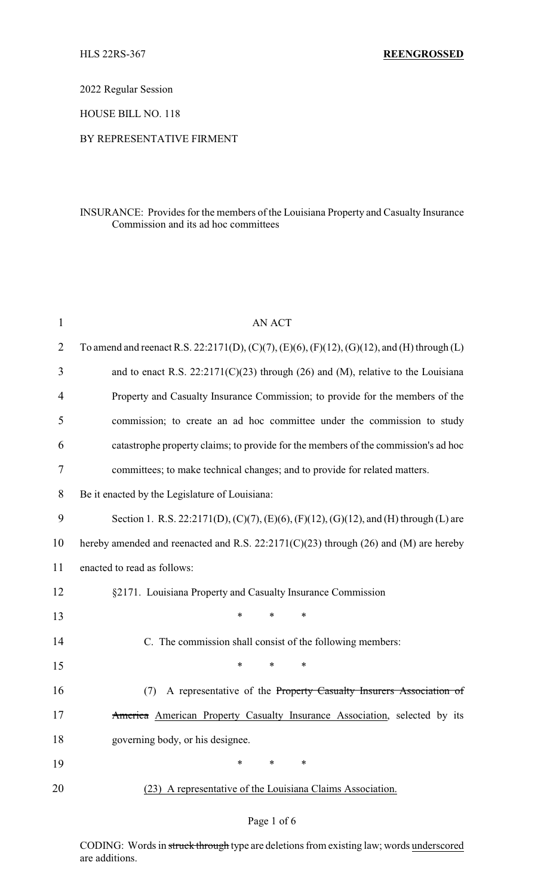2022 Regular Session

HOUSE BILL NO. 118

## BY REPRESENTATIVE FIRMENT

## INSURANCE: Provides for the members of the Louisiana Property and Casualty Insurance Commission and its ad hoc committees

| $\mathbf{1}$   | <b>AN ACT</b>                                                                               |
|----------------|---------------------------------------------------------------------------------------------|
| $\overline{2}$ | To amend and reenact R.S. 22:2171(D), (C)(7), (E)(6), (F)(12), (G)(12), and (H) through (L) |
| 3              | and to enact R.S. $22:2171(C)(23)$ through (26) and (M), relative to the Louisiana          |
| 4              | Property and Casualty Insurance Commission; to provide for the members of the               |
| 5              | commission; to create an ad hoc committee under the commission to study                     |
| 6              | catastrophe property claims; to provide for the members of the commission's ad hoc          |
| 7              | committees; to make technical changes; and to provide for related matters.                  |
| 8              | Be it enacted by the Legislature of Louisiana:                                              |
| 9              | Section 1. R.S. 22:2171(D), (C)(7), (E)(6), (F)(12), (G)(12), and (H) through (L) are       |
| 10             | hereby amended and reenacted and R.S. $22:2171(C)(23)$ through (26) and (M) are hereby      |
| 11             | enacted to read as follows:                                                                 |
| 12             | §2171. Louisiana Property and Casualty Insurance Commission                                 |
| 13             | $\ast$<br>*<br>*                                                                            |
| 14             | C. The commission shall consist of the following members:                                   |
| 15             | $\ast$<br>*<br>*                                                                            |
| 16             | A representative of the Property Casualty Insurers Association of<br>(7)                    |
| 17             | America American Property Casualty Insurance Association, selected by its                   |
| 18             | governing body, or his designee.                                                            |
| 19             | *<br>*<br>∗                                                                                 |
| 20             | (23) A representative of the Louisiana Claims Association.                                  |
|                |                                                                                             |

#### Page 1 of 6

CODING: Words in struck through type are deletions from existing law; words underscored are additions.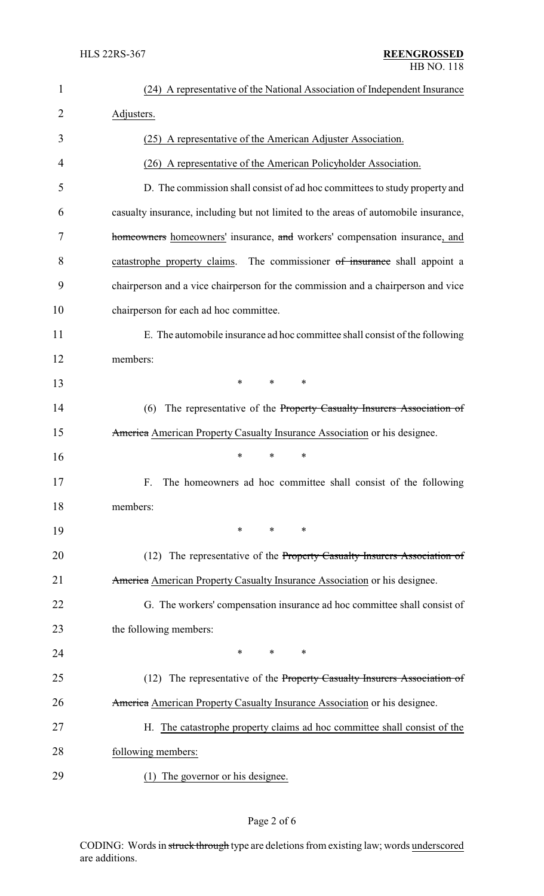| 1              | (24) A representative of the National Association of Independent Insurance          |
|----------------|-------------------------------------------------------------------------------------|
| $\overline{2}$ | Adjusters.                                                                          |
| 3              | (25) A representative of the American Adjuster Association.                         |
| 4              | (26) A representative of the American Policyholder Association.                     |
| 5              | D. The commission shall consist of ad hoc committees to study property and          |
| 6              | casualty insurance, including but not limited to the areas of automobile insurance, |
| 7              | homeowners homeowners' insurance, and workers' compensation insurance, and          |
| 8              | The commissioner of insurance shall appoint a<br>catastrophe property claims.       |
| 9              | chairperson and a vice chairperson for the commission and a chairperson and vice    |
| 10             | chairperson for each ad hoc committee.                                              |
| 11             | E. The automobile insurance ad hoc committee shall consist of the following         |
| 12             | members:                                                                            |
| 13             | $\ast$<br>*<br>∗                                                                    |
| 14             | The representative of the Property Casualty Insurers Association of<br>(6)          |
| 15             | America American Property Casualty Insurance Association or his designee.           |
| 16             | ∗<br>*<br>∗                                                                         |
| 17             | F. The homeowners ad hoc committee shall consist of the following                   |
| 18             | members:                                                                            |
| 19             | *<br>*<br>∗                                                                         |
| 20             | (12) The representative of the Property Casualty Insurers Association of            |
| 21             | America American Property Casualty Insurance Association or his designee.           |
| 22             | G. The workers' compensation insurance ad hoc committee shall consist of            |
| 23             | the following members:                                                              |
| 24             | *<br>*<br>∗                                                                         |
| 25             | (12) The representative of the Property Casualty Insurers Association of            |
| 26             | America American Property Casualty Insurance Association or his designee.           |
| 27             | H. The catastrophe property claims ad hoc committee shall consist of the            |
| 28             | following members:                                                                  |
| 29             | (1) The governor or his designee.                                                   |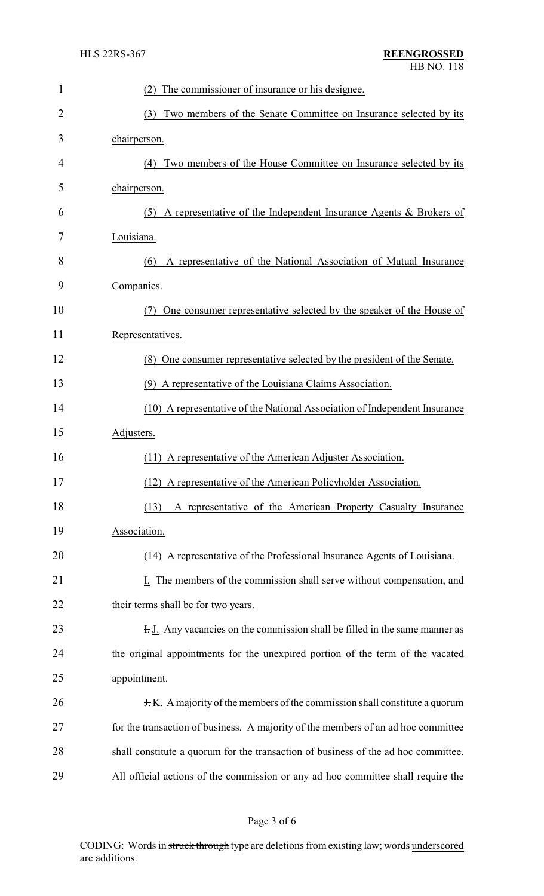| 1              | The commissioner of insurance or his designee.                                     |
|----------------|------------------------------------------------------------------------------------|
| $\overline{2}$ | Two members of the Senate Committee on Insurance selected by its<br>(3)            |
| 3              | chairperson.                                                                       |
| 4              | (4) Two members of the House Committee on Insurance selected by its                |
| 5              | chairperson.                                                                       |
| 6              | (5) A representative of the Independent Insurance Agents $\&$ Brokers of           |
| 7              | Louisiana.                                                                         |
| 8              | A representative of the National Association of Mutual Insurance<br>(6)            |
| 9              | Companies.                                                                         |
| 10             | One consumer representative selected by the speaker of the House of<br>(7)         |
| 11             | Representatives.                                                                   |
| 12             | (8) One consumer representative selected by the president of the Senate.           |
| 13             | (9) A representative of the Louisiana Claims Association.                          |
| 14             | (10) A representative of the National Association of Independent Insurance         |
| 15             | Adjusters.                                                                         |
| 16             | (11) A representative of the American Adjuster Association.                        |
| 17             | A representative of the American Policyholder Association.<br>(12)                 |
| 18             | (13)<br>A representative of the American Property Casualty Insurance               |
| 19             | Association.                                                                       |
| 20             | (14) A representative of the Professional Insurance Agents of Louisiana.           |
| 21             | The members of the commission shall serve without compensation, and                |
| 22             | their terms shall be for two years.                                                |
| 23             | <b>F. J.</b> Any vacancies on the commission shall be filled in the same manner as |
| 24             | the original appointments for the unexpired portion of the term of the vacated     |
| 25             | appointment.                                                                       |
| 26             | $\pm$ K. A majority of the members of the commission shall constitute a quorum     |
| 27             | for the transaction of business. A majority of the members of an ad hoc committee  |
| 28             | shall constitute a quorum for the transaction of business of the ad hoc committee. |
| 29             | All official actions of the commission or any ad hoc committee shall require the   |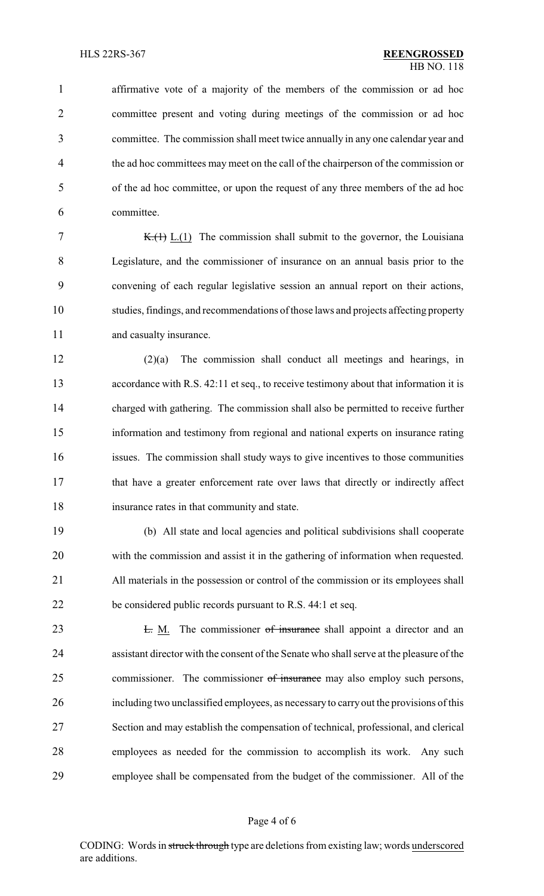affirmative vote of a majority of the members of the commission or ad hoc committee present and voting during meetings of the commission or ad hoc committee. The commission shall meet twice annually in any one calendar year and the ad hoc committees may meet on the call of the chairperson of the commission or of the ad hoc committee, or upon the request of any three members of the ad hoc committee.

7 K. $(H)$  L.(1) The commission shall submit to the governor, the Louisiana Legislature, and the commissioner of insurance on an annual basis prior to the convening of each regular legislative session an annual report on their actions, studies, findings, and recommendations of those laws and projects affecting property 11 and casualty insurance.

 (2)(a) The commission shall conduct all meetings and hearings, in accordance with R.S. 42:11 et seq., to receive testimony about that information it is charged with gathering. The commission shall also be permitted to receive further information and testimony from regional and national experts on insurance rating issues. The commission shall study ways to give incentives to those communities that have a greater enforcement rate over laws that directly or indirectly affect insurance rates in that community and state.

 (b) All state and local agencies and political subdivisions shall cooperate with the commission and assist it in the gathering of information when requested. All materials in the possession or control of the commission or its employees shall be considered public records pursuant to R.S. 44:1 et seq.

23 L. M. The commissioner of insurance shall appoint a director and an assistant director with the consent of the Senate who shall serve at the pleasure of the 25 commissioner. The commissioner of insurance may also employ such persons, including two unclassified employees, as necessaryto carry out the provisions of this Section and may establish the compensation of technical, professional, and clerical employees as needed for the commission to accomplish its work. Any such employee shall be compensated from the budget of the commissioner. All of the

#### Page 4 of 6

CODING: Words in struck through type are deletions from existing law; words underscored are additions.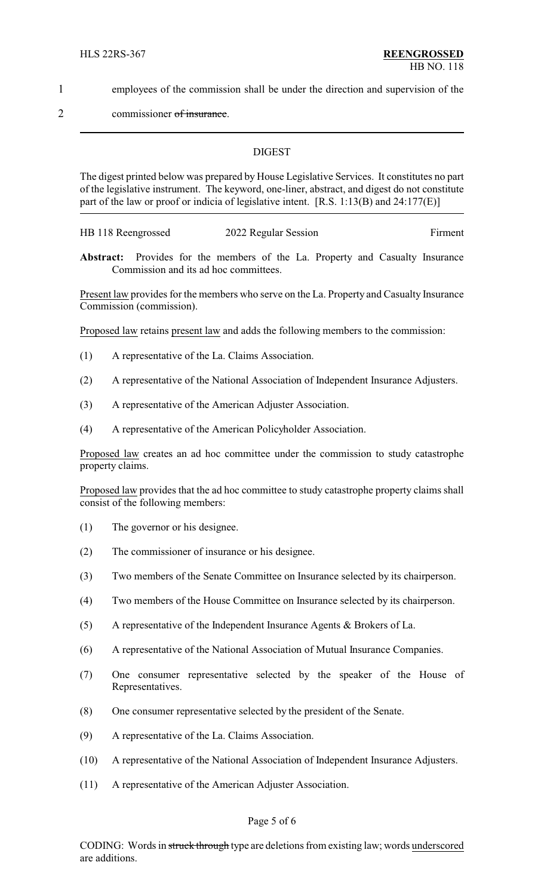1 employees of the commission shall be under the direction and supervision of the

2 commissioner of insurance.

#### **DIGEST**

The digest printed below was prepared by House Legislative Services. It constitutes no part of the legislative instrument. The keyword, one-liner, abstract, and digest do not constitute part of the law or proof or indicia of legislative intent. [R.S. 1:13(B) and 24:177(E)]

HB 118 Reengrossed 2022 Regular Session Firment

**Abstract:** Provides for the members of the La. Property and Casualty Insurance Commission and its ad hoc committees.

Present law provides for the members who serve on the La. Property and Casualty Insurance Commission (commission).

Proposed law retains present law and adds the following members to the commission:

- (1) A representative of the La. Claims Association.
- (2) A representative of the National Association of Independent Insurance Adjusters.
- (3) A representative of the American Adjuster Association.
- (4) A representative of the American Policyholder Association.

Proposed law creates an ad hoc committee under the commission to study catastrophe property claims.

Proposed law provides that the ad hoc committee to study catastrophe property claims shall consist of the following members:

- (1) The governor or his designee.
- (2) The commissioner of insurance or his designee.
- (3) Two members of the Senate Committee on Insurance selected by its chairperson.
- (4) Two members of the House Committee on Insurance selected by its chairperson.
- (5) A representative of the Independent Insurance Agents & Brokers of La.
- (6) A representative of the National Association of Mutual Insurance Companies.
- (7) One consumer representative selected by the speaker of the House of Representatives.
- (8) One consumer representative selected by the president of the Senate.
- (9) A representative of the La. Claims Association.
- (10) A representative of the National Association of Independent Insurance Adjusters.
- (11) A representative of the American Adjuster Association.

#### Page 5 of 6

CODING: Words in struck through type are deletions from existing law; words underscored are additions.